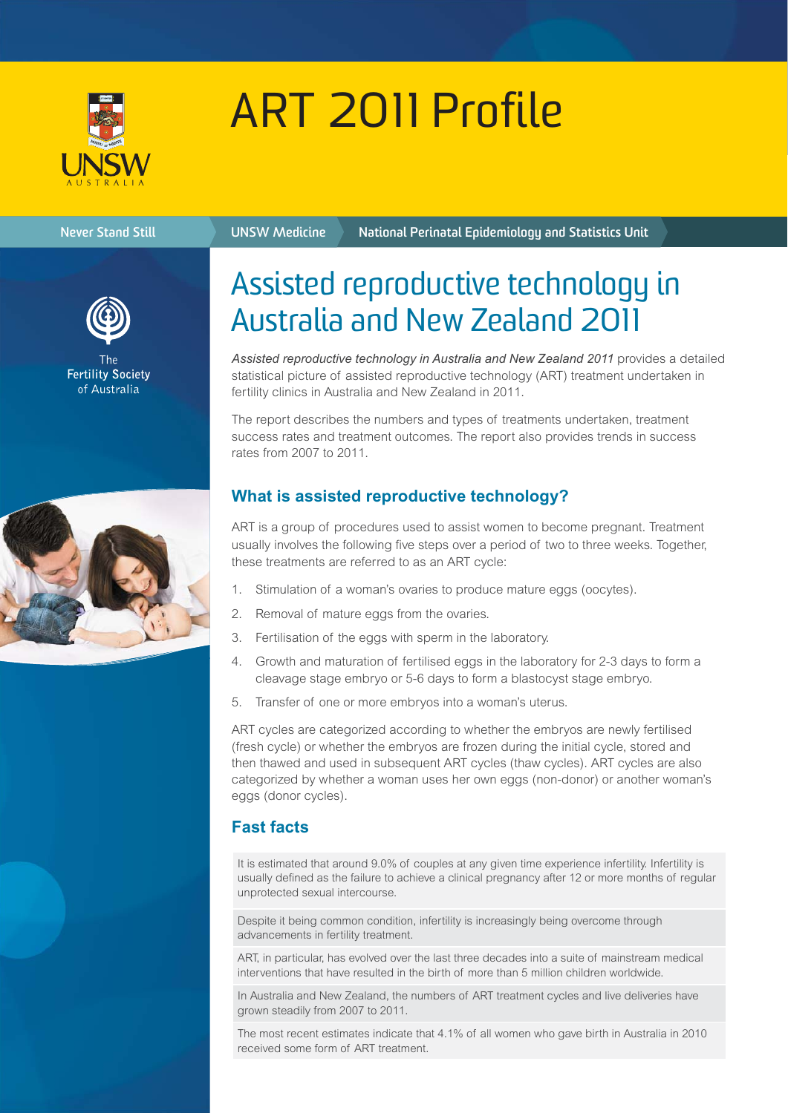

# ART 2011 Profile

#### **Never Stand Still UNSW Medicine**

**National Perinatal Epidemiology and Statistics Unit**



**Fertility Society** of Australia

# Assisted reproductive technology in Australia and New Zealand 2011

*Assisted reproductive technology in Australia and New Zealand 2011* provides a detailed statistical picture of assisted reproductive technology (ART) treatment undertaken in fertility clinics in Australia and New Zealand in 2011.

The report describes the numbers and types of treatments undertaken, treatment success rates and treatment outcomes. The report also provides trends in success rates from 2007 to 2011.

## **What is assisted reproductive technology?**

ART is a group of procedures used to assist women to become pregnant. Treatment usually involves the following five steps over a period of two to three weeks. Together, these treatments are referred to as an ART cycle:

- 1. Stimulation of a woman's ovaries to produce mature eggs (oocytes).
- 2. Removal of mature eggs from the ovaries.
- 3. Fertilisation of the eggs with sperm in the laboratory.
- 4. Growth and maturation of fertilised eggs in the laboratory for 2-3 days to form a cleavage stage embryo or 5-6 days to form a blastocyst stage embryo.
- 5. Transfer of one or more embryos into a woman's uterus.

ART cycles are categorized according to whether the embryos are newly fertilised (fresh cycle) or whether the embryos are frozen during the initial cycle, stored and then thawed and used in subsequent ART cycles (thaw cycles). ART cycles are also categorized by whether a woman uses her own eggs (non-donor) or another woman's eggs (donor cycles).

### **Fast facts**

It is estimated that around 9.0% of couples at any given time experience infertility. Infertility is usually defined as the failure to achieve a clinical pregnancy after 12 or more months of regular unprotected sexual intercourse.

Despite it being common condition, infertility is increasingly being overcome through advancements in fertility treatment.

ART, in particular, has evolved over the last three decades into a suite of mainstream medical interventions that have resulted in the birth of more than 5 million children worldwide.

In Australia and New Zealand, the numbers of ART treatment cycles and live deliveries have grown steadily from 2007 to 2011.

The most recent estimates indicate that 4.1% of all women who gave birth in Australia in 2010 received some form of ART treatment.

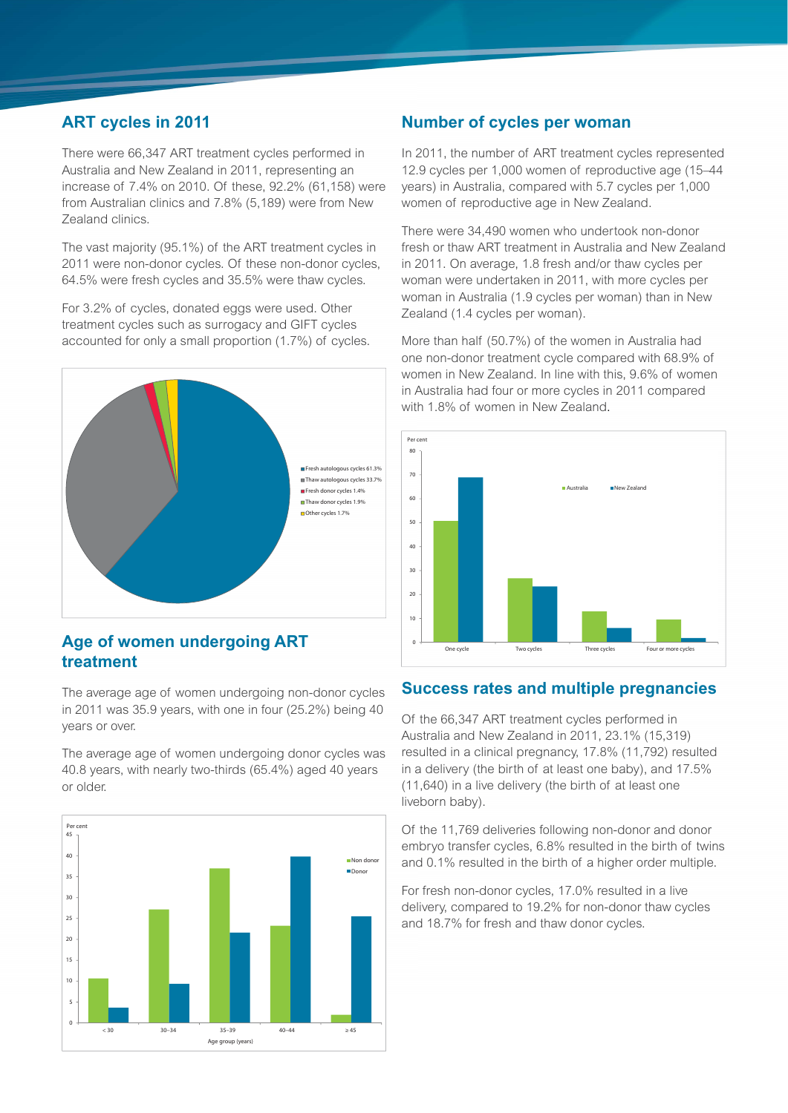#### **ART cycles in 2011**

There were 66,347 ART treatment cycles performed in Australia and New Zealand in 2011, representing an increase of 7.4% on 2010. Of these, 92.2% (61,158) were from Australian clinics and 7.8% (5,189) were from New Zealand clinics.

The vast majority (95.1%) of the ART treatment cycles in 2011 were non-donor cycles. Of these non-donor cycles, 64.5% were fresh cycles and 35.5% were thaw cycles.

For 3.2% of cycles, donated eggs were used. Other treatment cycles such as surrogacy and GIFT cycles accounted for only a small proportion (1.7%) of cycles.



#### **Age of women undergoing ART treatment**

The average age of women undergoing non-donor cycles in 2011 was 35.9 years, with one in four (25.2%) being 40 years or over.

The average age of women undergoing donor cycles was 40.8 years, with nearly two-thirds (65.4%) aged 40 years or older.



#### **Number of cycles per woman**

In 2011, the number of ART treatment cycles represented 12.9 cycles per 1,000 women of reproductive age (15–44 years) in Australia, compared with 5.7 cycles per 1,000 women of reproductive age in New Zealand.

There were 34,490 women who undertook non-donor fresh or thaw ART treatment in Australia and New Zealand in 2011. On average, 1.8 fresh and/or thaw cycles per woman were undertaken in 2011, with more cycles per woman in Australia (1.9 cycles per woman) than in New Zealand (1.4 cycles per woman).

More than half (50.7%) of the women in Australia had one non-donor treatment cycle compared with 68.9% of women in New Zealand. In line with this, 9.6% of women in Australia had four or more cycles in 2011 compared with 1.8% of women in New Zealand.



#### **Success rates and multiple pregnancies**

Of the 66,347 ART treatment cycles performed in Australia and New Zealand in 2011, 23.1% (15,319) resulted in a clinical pregnancy, 17.8% (11,792) resulted in a delivery (the birth of at least one baby), and 17.5% (11,640) in a live delivery (the birth of at least one liveborn baby).

Of the 11,769 deliveries following non-donor and donor embryo transfer cycles, 6.8% resulted in the birth of twins and 0.1% resulted in the birth of a higher order multiple.

For fresh non-donor cycles, 17.0% resulted in a live delivery, compared to 19.2% for non-donor thaw cycles and 18.7% for fresh and thaw donor cycles.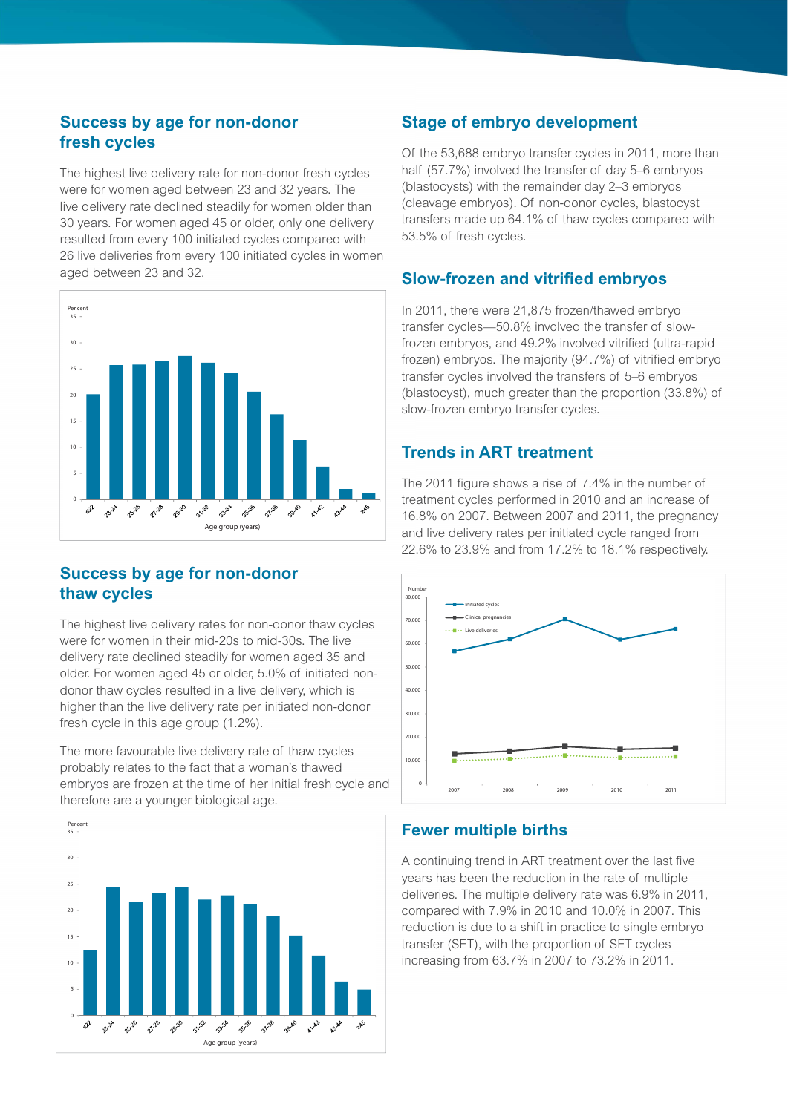#### **Success by age for non-donor fresh cycles**

The highest live delivery rate for non-donor fresh cycles were for women aged between 23 and 32 years. The live delivery rate declined steadily for women older than 30 years. For women aged 45 or older, only one delivery resulted from every 100 initiated cycles compared with 26 live deliveries from every 100 initiated cycles in women aged between 23 and 32.



### **Success by age for non-donor thaw cycles**

The highest live delivery rates for non-donor thaw cycles were for women in their mid-20s to mid-30s. The live delivery rate declined steadily for women aged 35 and older. For women aged 45 or older, 5.0% of initiated nondonor thaw cycles resulted in a live delivery, which is higher than the live delivery rate per initiated non-donor fresh cycle in this age group (1.2%).

The more favourable live delivery rate of thaw cycles probably relates to the fact that a woman's thawed embryos are frozen at the time of her initial fresh cycle and therefore are a younger biological age.



#### **Stage of embryo development**

Of the 53,688 embryo transfer cycles in 2011, more than half (57.7%) involved the transfer of day 5–6 embryos (blastocysts) with the remainder day 2-3 embryos (cleavage embryos). Of non-donor cycles, blastocyst transfers made up 64.1% of thaw cycles compared with 53.5% of fresh cycles.

#### **Slow-frozen and vitrified embryos**

In 2011, there were 21,875 frozen/thawed embryo transfer cycles—50.8% involved the transfer of slowfrozen embryos, and 49.2% involved vitrified (ultra-rapid frozen) embryos. The majority (94.7%) of vitrified embryo transfer cycles involved the transfers of 5–6 embryos (blastocyst), much greater than the proportion (33.8%) of slow-frozen embryo transfer cycles.

#### **Trends in ART treatment**

The 2011 figure shows a rise of 7.4% in the number of treatment cycles performed in 2010 and an increase of 16.8% on 2007. Between 2007 and 2011, the pregnancy and live delivery rates per initiated cycle ranged from 22.6% to 23.9% and from 17.2% to 18.1% respectively.



#### **Fewer multiple births**

A continuing trend in ART treatment over the last five years has been the reduction in the rate of multiple deliveries. The multiple delivery rate was 6.9% in 2011, compared with 7.9% in 2010 and 10.0% in 2007. This reduction is due to a shift in practice to single embryo transfer (SET), with the proportion of SET cycles increasing from 63.7% in 2007 to 73.2% in 2011.